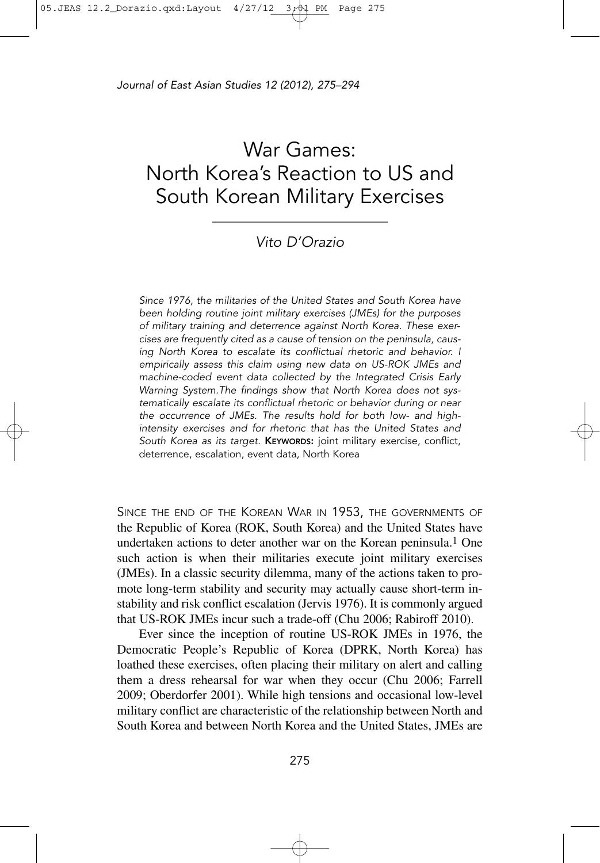*Journal of East Asian Studies 12 (2012), 275–294*

# War Games: North Korea's Reaction to US and South Korean Military Exercises

# *Vito D'Orazio*

*Since 1976, the militaries of the United States and South Korea have been holding routine joint military exercises (JMEs) for the purposes of military training and deterrence against North Korea. These exercises are frequently cited as a cause of tension on the peninsula, causing North Korea to escalate its conflictual rhetoric and behavior. I empirically assess this claim using new data on US-ROK JMEs and machine-coded event data collected by the Integrated Crisis Early Warning System.The findings show that North Korea does not systematically escalate its conflictual rhetoric or behavior during or near the occurrence of JMEs. The results hold for both low- and highintensity exercises and for rhetoric that has the United States and South Korea as its target.* **KEYWORDS:** joint military exercise, conflict, deterrence, escalation, event data, North Korea

SINCE THE END OF THE KOREAN WAR IN 1953, THE GOVERNMENTS OF the Republic of Korea (ROK, South Korea) and the United States have undertaken actions to deter another war on the Korean peninsula. 1 One such action is when their militaries execute joint military exercises (JMEs). In a classic security dilemma, many of the actions taken to promote long-term stability and security may actually cause short-term instability and risk conflict escalation (Jervis 1976). It is commonly argued that US-ROK JMEs incur such a trade-off (Chu 2006; Rabiroff 2010).

Ever since the inception of routine US-ROK JMEs in 1976, the Democratic People's Republic of Korea (DPRK, North Korea) has loathed these exercises, often placing their military on alert and calling them a dress rehearsal for war when they occur (Chu 2006; Farrell 2009; Oberdorfer 2001). While high tensions and occasional low-level military conflict are characteristic of the relationship between North and South Korea and between North Korea and the United States, JMEs are

275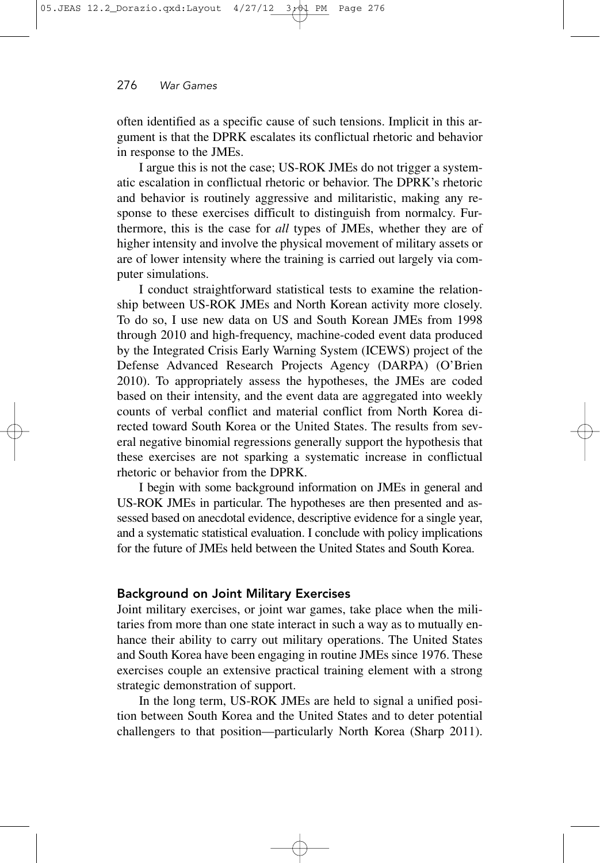often identified as a specific cause of such tensions. Implicit in this argument is that the DPRK escalates its conflictual rhetoric and behavior in response to the JMEs.

I argue this is not the case; US-ROK JMEs do not trigger a systematic escalation in conflictual rhetoric or behavior. The DPRK's rhetoric and behavior is routinely aggressive and militaristic, making any response to these exercises difficult to distinguish from normalcy. Furthermore, this is the case for *all* types of JMEs, whether they are of higher intensity and involve the physical movement of military assets or are of lower intensity where the training is carried out largely via computer simulations.

I conduct straightforward statistical tests to examine the relationship between US-ROK JMEs and North Korean activity more closely. To do so, I use new data on US and South Korean JMEs from 1998 through 2010 and high-frequency, machine-coded event data produced by the Integrated Crisis Early Warning System (ICEWS) project of the Defense Advanced Research Projects Agency (DARPA) (O'Brien 2010). To appropriately assess the hypotheses, the JMEs are coded based on their intensity, and the event data are aggregated into weekly counts of verbal conflict and material conflict from North Korea directed toward South Korea or the United States. The results from several negative binomial regressions generally support the hypothesis that these exercises are not sparking a systematic increase in conflictual rhetoric or behavior from the DPRK.

I begin with some background information on JMEs in general and US-ROK JMEs in particular. The hypotheses are then presented and assessed based on anecdotal evidence, descriptive evidence for a single year, and a systematic statistical evaluation. I conclude with policy implications for the future of JMEs held between the United States and South Korea.

# **Background on Joint Military Exercises**

Joint military exercises, or joint war games, take place when the militaries from more than one state interact in such a way as to mutually enhance their ability to carry out military operations. The United States and South Korea have been engaging in routine JMEs since 1976. These exercises couple an extensive practical training element with a strong strategic demonstration of support.

In the long term, US-ROK JMEs are held to signal a unified position between South Korea and the United States and to deter potential challengers to that position—particularly North Korea (Sharp 2011).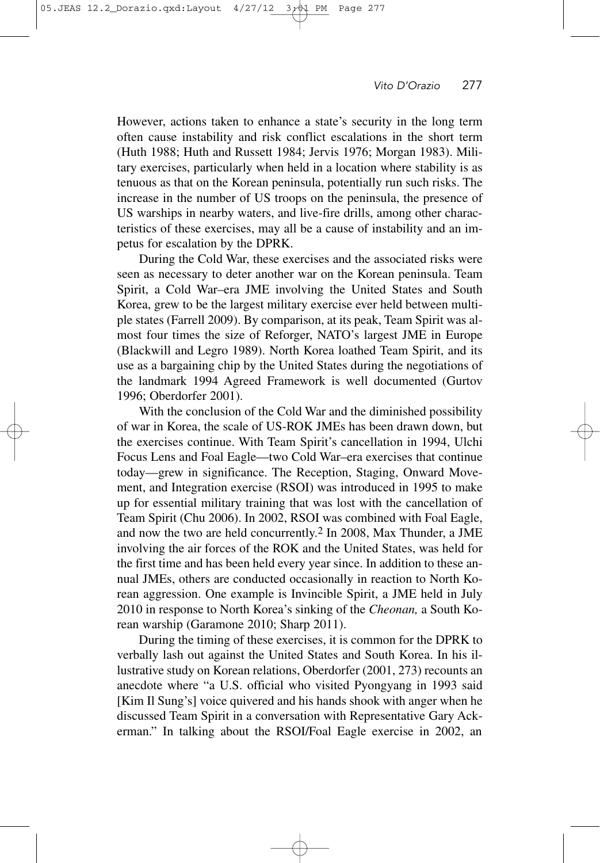However, actions taken to enhance a state's security in the long term often cause instability and risk conflict escalations in the short term (Huth 1988; Huth and Russett 1984; Jervis 1976; Morgan 1983). Military exercises, particularly when held in a location where stability is as tenuous as that on the Korean peninsula, potentially run such risks. The increase in the number of US troops on the peninsula, the presence of US warships in nearby waters, and live-fire drills, among other characteristics of these exercises, may all be a cause of instability and an impetus for escalation by the DPRK.

During the Cold War, these exercises and the associated risks were seen as necessary to deter another war on the Korean peninsula. Team Spirit, a Cold War–era JME involving the United States and South Korea, grew to be the largest military exercise ever held between multiple states (Farrell 2009). By comparison, at its peak, Team Spirit was almost four times the size of Reforger, NATO's largest JME in Europe (Blackwill and Legro 1989). North Korea loathed Team Spirit, and its use as a bargaining chip by the United States during the negotiations of the landmark 1994 Agreed Framework is well documented (Gurtov 1996; Oberdorfer 2001).

With the conclusion of the Cold War and the diminished possibility of war in Korea, the scale of US-ROK JMEs has been drawn down, but the exercises continue. With Team Spirit's cancellation in 1994, Ulchi Focus Lens and Foal Eagle—two Cold War–era exercises that continue today—grew in significance. The Reception, Staging, Onward Movement, and Integration exercise (RSOI) was introduced in 1995 to make up for essential military training that was lost with the cancellation of Team Spirit (Chu 2006). In 2002, RSOI was combined with Foal Eagle, and now the two are held concurrently.<sup>2</sup> In 2008, Max Thunder, a JME involving the air forces of the ROK and the United States, was held for the first time and has been held every year since. In addition to these annual JMEs, others are conducted occasionally in reaction to North Korean aggression. One example is Invincible Spirit, a JME held in July 2010 in response to North Korea's sinking of the *Cheonan,* a South Korean warship (Garamone 2010; Sharp 2011).

During the timing of these exercises, it is common for the DPRK to verbally lash out against the United States and South Korea. In his illustrative study on Korean relations, Oberdorfer (2001, 273) recounts an anecdote where "a U.S. official who visited Pyongyang in 1993 said [Kim Il Sung's] voice quivered and his hands shook with anger when he discussed Team Spirit in a conversation with Representative Gary Ackerman." In talking about the RSOI/Foal Eagle exercise in 2002, an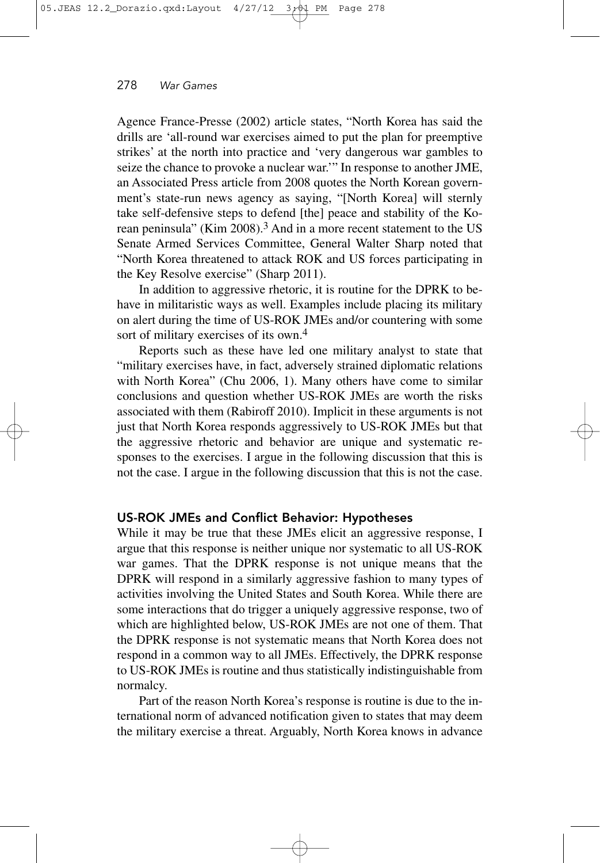Agence France-Presse (2002) article states, "North Korea has said the drills are 'all-round war exercises aimed to put the plan for preemptive strikes' at the north into practice and 'very dangerous war gambles to seize the chance to provoke a nuclear war.'" In response to another JME, an Associated Press article from 2008 quotes the North Korean government's state-run news agency as saying, "[North Korea] will sternly take self-defensive steps to defend [the] peace and stability of the Korean peninsula" (Kim 2008).<sup>3</sup> And in a more recent statement to the US Senate Armed Services Committee, General Walter Sharp noted that "North Korea threatened to attack ROK and US forces participating in the Key Resolve exercise" (Sharp 2011).

In addition to aggressive rhetoric, it is routine for the DPRK to behave in militaristic ways as well. Examples include placing its military on alert during the time of US-ROK JMEs and/or countering with some sort of military exercises of its own. 4

Reports such as these have led one military analyst to state that "military exercises have, in fact, adversely strained diplomatic relations with North Korea" (Chu 2006, 1). Many others have come to similar conclusions and question whether US-ROK JMEs are worth the risks associated with them (Rabiroff 2010). Implicit in these arguments is not just that North Korea responds aggressively to US-ROK JMEs but that the aggressive rhetoric and behavior are unique and systematic responses to the exercises. I argue in the following discussion that this is not the case. I argue in the following discussion that this is not the case.

# **US-ROK JMEs and Conflict Behavior: Hypotheses**

While it may be true that these JMEs elicit an aggressive response, I argue that this response is neither unique nor systematic to all US-ROK war games. That the DPRK response is not unique means that the DPRK will respond in a similarly aggressive fashion to many types of activities involving the United States and South Korea. While there are some interactions that do trigger a uniquely aggressive response, two of which are highlighted below, US-ROK JMEs are not one of them. That the DPRK response is not systematic means that North Korea does not respond in a common way to all JMEs. Effectively, the DPRK response to US-ROK JMEs is routine and thus statistically indistinguishable from normalcy.

Part of the reason North Korea's response is routine is due to the international norm of advanced notification given to states that may deem the military exercise a threat. Arguably, North Korea knows in advance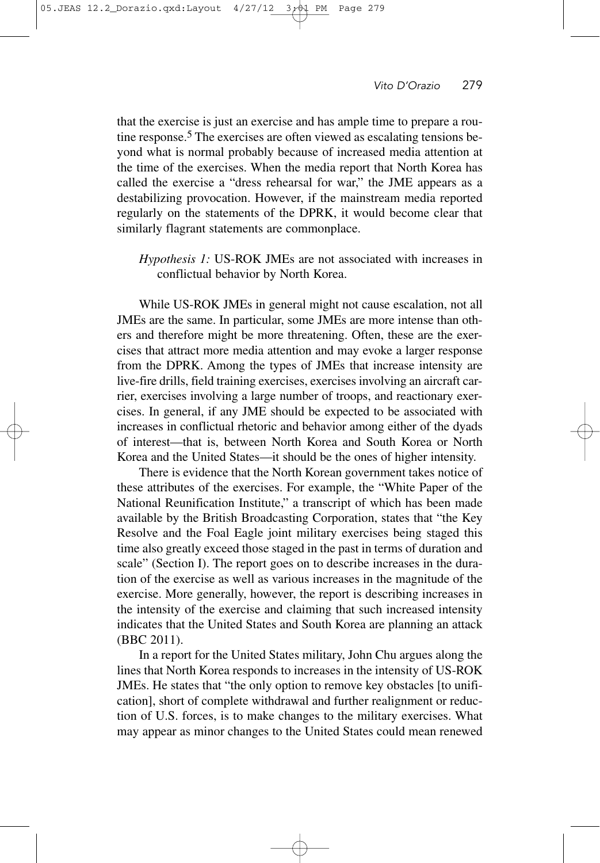that the exercise is just an exercise and has ample time to prepare a routine response. 5 The exercises are often viewed as escalating tensions beyond what is normal probably because of increased media attention at the time of the exercises. When the media report that North Korea has called the exercise a "dress rehearsal for war," the JME appears as a destabilizing provocation. However, if the mainstream media reported regularly on the statements of the DPRK, it would become clear that similarly flagrant statements are commonplace.

# *Hypothesis 1:* US-ROK JMEs are not associated with increases in conflictual behavior by North Korea.

While US-ROK JMEs in general might not cause escalation, not all JMEs are the same. In particular, some JMEs are more intense than others and therefore might be more threatening. Often, these are the exercises that attract more media attention and may evoke a larger response from the DPRK. Among the types of JMEs that increase intensity are live-fire drills, field training exercises, exercises involving an aircraft carrier, exercises involving a large number of troops, and reactionary exercises. In general, if any JME should be expected to be associated with increases in conflictual rhetoric and behavior among either of the dyads of interest—that is, between North Korea and South Korea or North Korea and the United States—it should be the ones of higher intensity.

There is evidence that the North Korean government takes notice of these attributes of the exercises. For example, the "White Paper of the National Reunification Institute," a transcript of which has been made available by the British Broadcasting Corporation, states that "the Key Resolve and the Foal Eagle joint military exercises being staged this time also greatly exceed those staged in the past in terms of duration and scale" (Section I). The report goes on to describe increases in the duration of the exercise as well as various increases in the magnitude of the exercise. More generally, however, the report is describing increases in the intensity of the exercise and claiming that such increased intensity indicates that the United States and South Korea are planning an attack (BBC 2011).

In a report for the United States military, John Chu argues along the lines that North Korea responds to increases in the intensity of US-ROK JMEs. He states that "the only option to remove key obstacles [to unification], short of complete withdrawal and further realignment or reduction of U.S. forces, is to make changes to the military exercises. What may appear as minor changes to the United States could mean renewed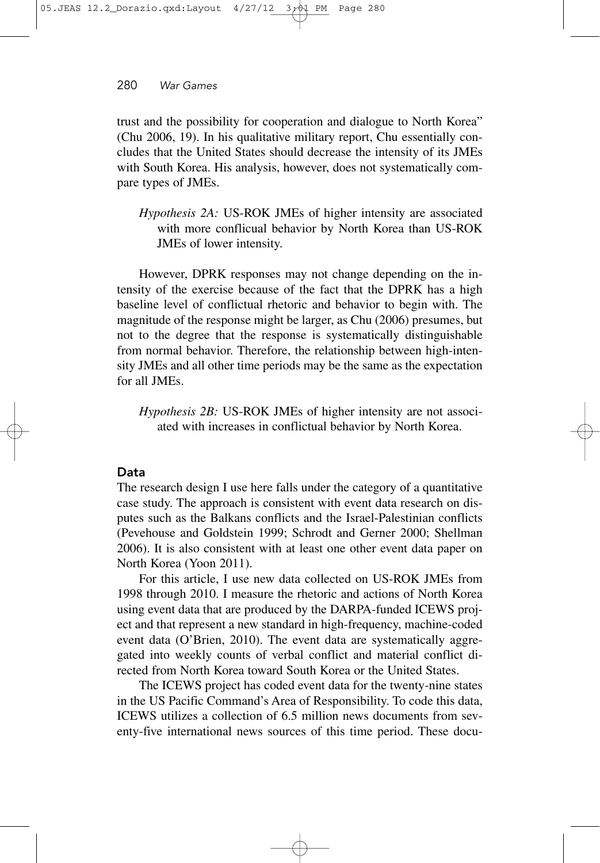trust and the possibility for cooperation and dialogue to North Korea" (Chu 2006, 19). In his qualitative military report, Chu essentially concludes that the United States should decrease the intensity of its JMEs with South Korea. His analysis, however, does not systematically compare types of JMEs.

*Hypothesis 2A:* US-ROK JMEs of higher intensity are associated with more conflicual behavior by North Korea than US-ROK JMEs of lower intensity.

However, DPRK responses may not change depending on the intensity of the exercise because of the fact that the DPRK has a high baseline level of conflictual rhetoric and behavior to begin with. The magnitude of the response might be larger, as Chu (2006) presumes, but not to the degree that the response is systematically distinguishable from normal behavior. Therefore, the relationship between high-intensity JMEs and all other time periods may be the same as the expectation for all JMEs.

*Hypothesis 2B:* US-ROK JMEs of higher intensity are not associated with increases in conflictual behavior by North Korea.

# **Data**

The research design I use here falls under the category of a quantitative case study. The approach is consistent with event data research on disputes such as the Balkans conflicts and the Israel-Palestinian conflicts (Pevehouse and Goldstein 1999; Schrodt and Gerner 2000; Shellman 2006). It is also consistent with at least one other event data paper on North Korea (Yoon 2011).

For this article, I use new data collected on US-ROK JMEs from 1998 through 2010. I measure the rhetoric and actions of North Korea using event data that are produced by the DARPA-funded ICEWS project and that represent a new standard in high-frequency, machine-coded event data (O'Brien, 2010). The event data are systematically aggregated into weekly counts of verbal conflict and material conflict directed from North Korea toward South Korea or the United States.

The ICEWS project has coded event data for the twenty-nine states in the US Pacific Command's Area of Responsibility. To code this data, ICEWS utilizes a collection of 6.5 million news documents from seventy-five international news sources of this time period. These docu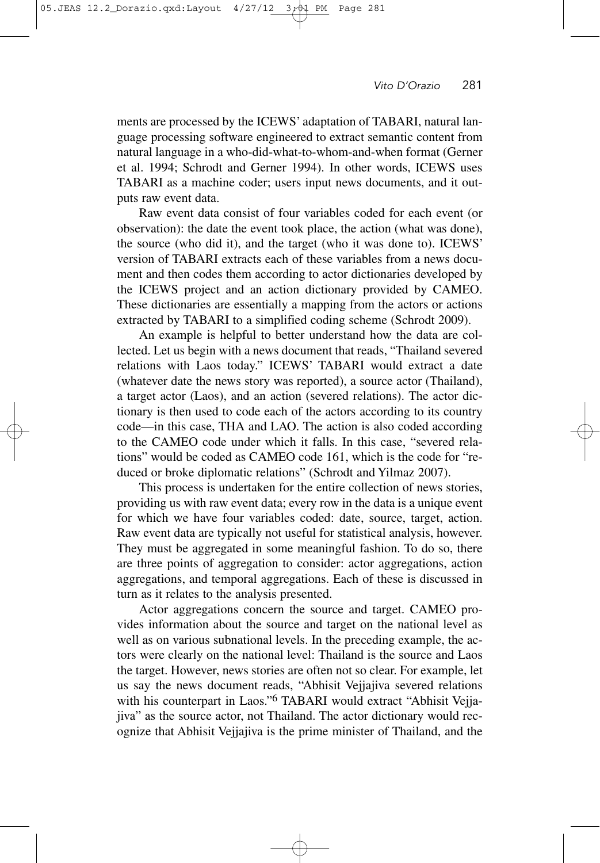ments are processed by the ICEWS' adaptation of TABARI, natural language processing software engineered to extract semantic content from natural language in a who-did-what-to-whom-and-when format (Gerner et al. 1994; Schrodt and Gerner 1994). In other words, ICEWS uses TABARI as a machine coder; users input news documents, and it outputs raw event data.

Raw event data consist of four variables coded for each event (or observation): the date the event took place, the action (what was done), the source (who did it), and the target (who it was done to). ICEWS' version of TABARI extracts each of these variables from a news document and then codes them according to actor dictionaries developed by the ICEWS project and an action dictionary provided by CAMEO. These dictionaries are essentially a mapping from the actors or actions extracted by TABARI to a simplified coding scheme (Schrodt 2009).

An example is helpful to better understand how the data are collected. Let us begin with a news document that reads, "Thailand severed relations with Laos today." ICEWS' TABARI would extract a date (whatever date the news story was reported), a source actor (Thailand), a target actor (Laos), and an action (severed relations). The actor dictionary is then used to code each of the actors according to its country code—in this case, THA and LAO. The action is also coded according to the CAMEO code under which it falls. In this case, "severed relations" would be coded as CAMEO code 161, which is the code for "reduced or broke diplomatic relations" (Schrodt and Yilmaz 2007).

This process is undertaken for the entire collection of news stories, providing us with raw event data; every row in the data is a unique event for which we have four variables coded: date, source, target, action. Raw event data are typically not useful for statistical analysis, however. They must be aggregated in some meaningful fashion. To do so, there are three points of aggregation to consider: actor aggregations, action aggregations, and temporal aggregations. Each of these is discussed in turn as it relates to the analysis presented.

Actor aggregations concern the source and target. CAMEO provides information about the source and target on the national level as well as on various subnational levels. In the preceding example, the actors were clearly on the national level: Thailand is the source and Laos the target. However, news stories are often not so clear. For example, let us say the news document reads, "Abhisit Vejjajiva severed relations with his counterpart in Laos."6 TABARI would extract "Abhisit Vejjajiva" as the source actor, not Thailand. The actor dictionary would recognize that Abhisit Vejjajiva is the prime minister of Thailand, and the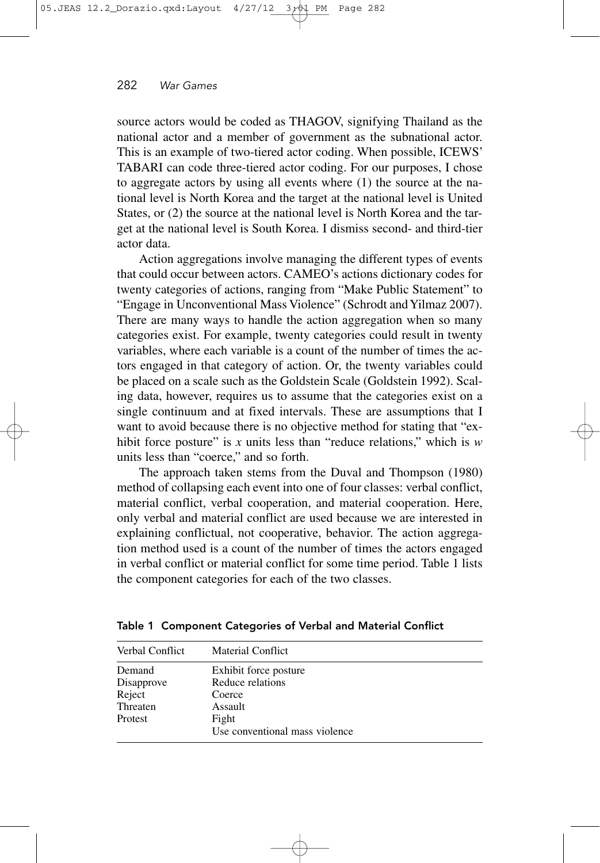source actors would be coded as THAGOV, signifying Thailand as the national actor and a member of government as the subnational actor. This is an example of two-tiered actor coding. When possible, ICEWS' TABARI can code three-tiered actor coding. For our purposes, I chose to aggregate actors by using all events where (1) the source at the national level is North Korea and the target at the national level is United States, or (2) the source at the national level is North Korea and the target at the national level is South Korea. I dismiss second- and third-tier actor data.

Action aggregations involve managing the different types of events that could occur between actors. CAMEO's actions dictionary codes for twenty categories of actions, ranging from "Make Public Statement" to "Engage in Unconventional Mass Violence" (Schrodt and Yilmaz 2007). There are many ways to handle the action aggregation when so many categories exist. For example, twenty categories could result in twenty variables, where each variable is a count of the number of times the actors engaged in that category of action. Or, the twenty variables could be placed on a scale such as the Goldstein Scale (Goldstein 1992). Scaling data, however, requires us to assume that the categories exist on a single continuum and at fixed intervals. These are assumptions that I want to avoid because there is no objective method for stating that "exhibit force posture" is *x* units less than "reduce relations," which is *w* units less than "coerce," and so forth.

The approach taken stems from the Duval and Thompson (1980) method of collapsing each event into one of four classes: verbal conflict, material conflict, verbal cooperation, and material cooperation. Here, only verbal and material conflict are used because we are interested in explaining conflictual, not cooperative, behavior. The action aggregation method used is a count of the number of times the actors engaged in verbal conflict or material conflict for some time period. Table 1 lists the component categories for each of the two classes.

| Verbal Conflict | <b>Material Conflict</b>       |
|-----------------|--------------------------------|
| Demand          | Exhibit force posture          |
| Disapprove      | Reduce relations               |
| Reject          | Coerce                         |
| Threaten        | Assault                        |
| Protest         | Fight                          |
|                 | Use conventional mass violence |

|  | Table 1 Component Categories of Verbal and Material Conflict |  |  |
|--|--------------------------------------------------------------|--|--|
|  |                                                              |  |  |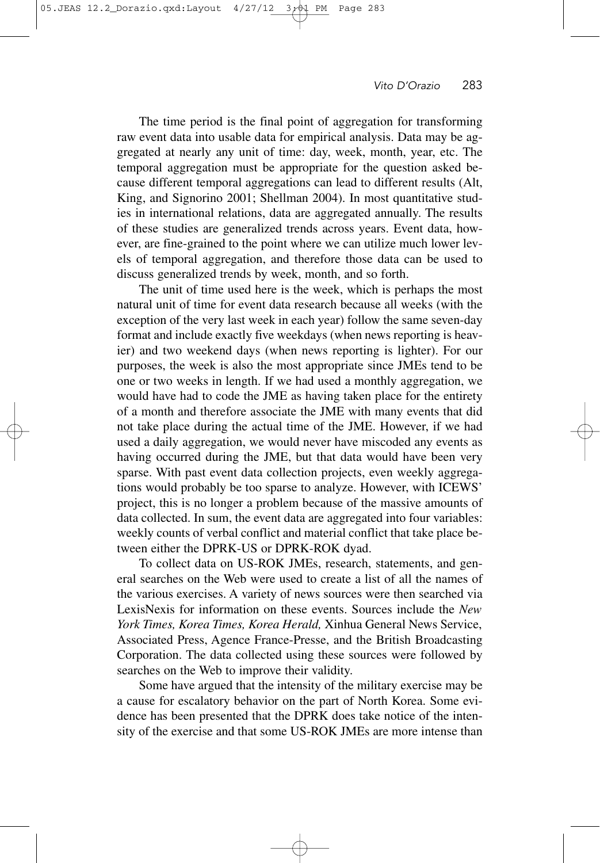The time period is the final point of aggregation for transforming raw event data into usable data for empirical analysis. Data may be aggregated at nearly any unit of time: day, week, month, year, etc. The temporal aggregation must be appropriate for the question asked because different temporal aggregations can lead to different results (Alt, King, and Signorino 2001; Shellman 2004). In most quantitative studies in international relations, data are aggregated annually. The results of these studies are generalized trends across years. Event data, however, are fine-grained to the point where we can utilize much lower levels of temporal aggregation, and therefore those data can be used to discuss generalized trends by week, month, and so forth.

The unit of time used here is the week, which is perhaps the most natural unit of time for event data research because all weeks (with the exception of the very last week in each year) follow the same seven-day format and include exactly five weekdays (when news reporting is heavier) and two weekend days (when news reporting is lighter). For our purposes, the week is also the most appropriate since JMEs tend to be one or two weeks in length. If we had used a monthly aggregation, we would have had to code the JME as having taken place for the entirety of a month and therefore associate the JME with many events that did not take place during the actual time of the JME. However, if we had used a daily aggregation, we would never have miscoded any events as having occurred during the JME, but that data would have been very sparse. With past event data collection projects, even weekly aggregations would probably be too sparse to analyze. However, with ICEWS' project, this is no longer a problem because of the massive amounts of data collected. In sum, the event data are aggregated into four variables: weekly counts of verbal conflict and material conflict that take place between either the DPRK-US or DPRK-ROK dyad.

To collect data on US-ROK JMEs, research, statements, and general searches on the Web were used to create a list of all the names of the various exercises. A variety of news sources were then searched via LexisNexis for information on these events. Sources include the *New York Times, Korea Times, Korea Herald,* Xinhua General News Service, Associated Press, Agence France-Presse, and the British Broadcasting Corporation. The data collected using these sources were followed by searches on the Web to improve their validity.

Some have argued that the intensity of the military exercise may be a cause for escalatory behavior on the part of North Korea. Some evidence has been presented that the DPRK does take notice of the intensity of the exercise and that some US-ROK JMEs are more intense than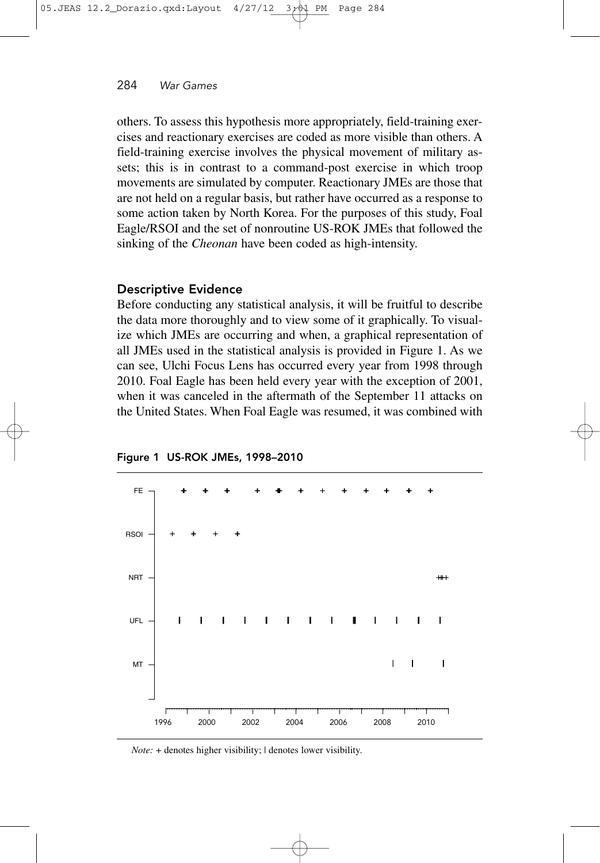others. To assess this hypothesis more appropriately, field-training exercises and reactionary exercises are coded as more visible than others. A field-training exercise involves the physical movement of military assets; this is in contrast to a command-post exercise in which troop movements are simulated by computer. Reactionary JMEs are those that are not held on a regular basis, but rather have occurred as a response to some action taken by North Korea. For the purposes of this study, Foal Eagle/RSOI and the set of nonroutine US-ROK JMEs that followed the sinking of the *Cheonan* have been coded as high-intensity.

# **Descriptive Evidence**

Before conducting any statistical analysis, it will be fruitful to describe the data more thoroughly and to view some of it graphically. To visualize which JMEs are occurring and when, a graphical representation of all JMEs used in the statistical analysis is provided in Figure 1. As we can see, Ulchi Focus Lens has occurred every year from 1998 through 2010. Foal Eagle has been held every year with the exception of 2001, when it was canceled in the aftermath of the September 11 attacks on the United States. When Foal Eagle was resumed, it was combined with



**Figure 1 US-ROK JMEs, 1998–2010**

*Note:* + denotes higher visibility; | denotes lower visibility.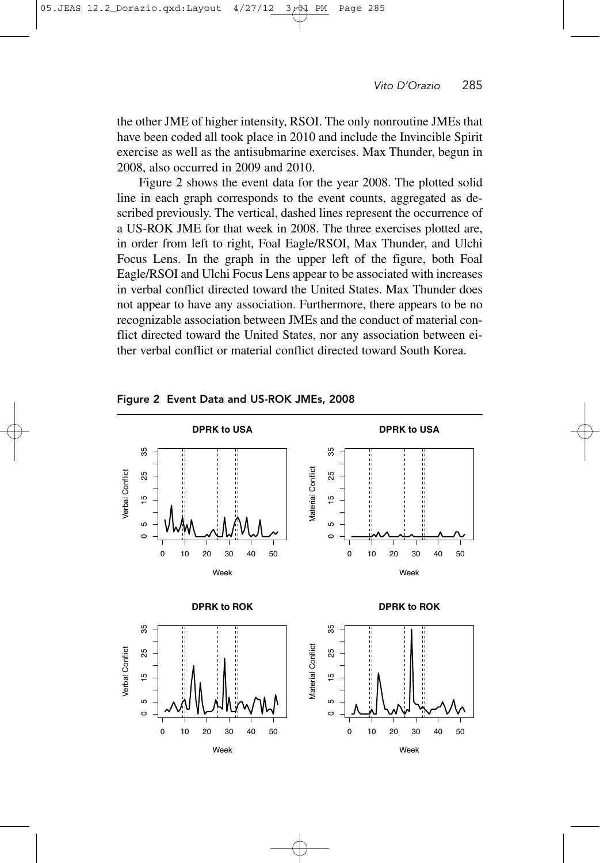05.JEAS 12.2\_Dorazio.qxd:Layout 4/27/12 3;01 PM Page 285

the other JME of higher intensity, RSOI. The only nonroutine JMEs that have been coded all took place in 2010 and include the Invincible Spirit exercise as well as the antisubmarine exercises. Max Thunder, begun in 2008, also occurred in 2009 and 2010.

Figure 2 shows the event data for the year 2008. The plotted solid line in each graph corresponds to the event counts, aggregated as described previously. The vertical, dashed lines represent the occurrence of a US-ROK JME for that week in 2008. The three exercises plotted are, in order from left to right, Foal Eagle/RSOI, Max Thunder, and Ulchi Focus Lens. In the graph in the upper left of the figure, both Foal Eagle/RSOI and Ulchi Focus Lens appear to be associated with increases in verbal conflict directed toward the United States. Max Thunder does not appear to have any association. Furthermore, there appears to be no recognizable association between JMEs and the conduct of material conflict directed toward the United States, nor any association between either verbal conflict or material conflict directed toward South Korea.



**Figure 2 Event Data and US-ROK JMEs, 2008**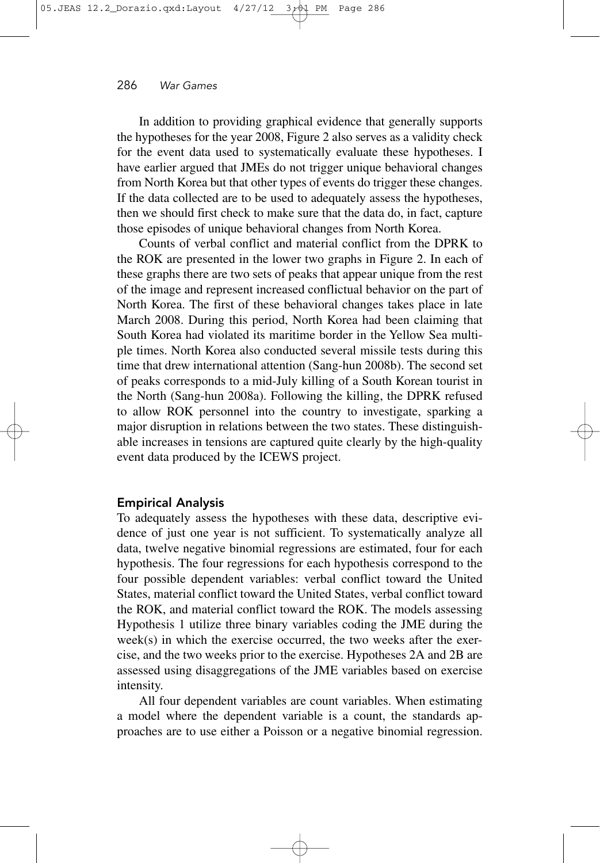In addition to providing graphical evidence that generally supports the hypotheses for the year 2008, Figure 2 also serves as a validity check for the event data used to systematically evaluate these hypotheses. I have earlier argued that JMEs do not trigger unique behavioral changes from North Korea but that other types of events do trigger these changes. If the data collected are to be used to adequately assess the hypotheses, then we should first check to make sure that the data do, in fact, capture those episodes of unique behavioral changes from North Korea.

Counts of verbal conflict and material conflict from the DPRK to the ROK are presented in the lower two graphs in Figure 2. In each of these graphs there are two sets of peaks that appear unique from the rest of the image and represent increased conflictual behavior on the part of North Korea. The first of these behavioral changes takes place in late March 2008. During this period, North Korea had been claiming that South Korea had violated its maritime border in the Yellow Sea multiple times. North Korea also conducted several missile tests during this time that drew international attention (Sang-hun 2008b). The second set of peaks corresponds to a mid-July killing of a South Korean tourist in the North (Sang-hun 2008a). Following the killing, the DPRK refused to allow ROK personnel into the country to investigate, sparking a major disruption in relations between the two states. These distinguishable increases in tensions are captured quite clearly by the high-quality event data produced by the ICEWS project.

# **Empirical Analysis**

To adequately assess the hypotheses with these data, descriptive evidence of just one year is not sufficient. To systematically analyze all data, twelve negative binomial regressions are estimated, four for each hypothesis. The four regressions for each hypothesis correspond to the four possible dependent variables: verbal conflict toward the United States, material conflict toward the United States, verbal conflict toward the ROK, and material conflict toward the ROK. The models assessing Hypothesis 1 utilize three binary variables coding the JME during the week(s) in which the exercise occurred, the two weeks after the exercise, and the two weeks prior to the exercise. Hypotheses 2A and 2B are assessed using disaggregations of the JME variables based on exercise intensity.

All four dependent variables are count variables. When estimating a model where the dependent variable is a count, the standards approaches are to use either a Poisson or a negative binomial regression.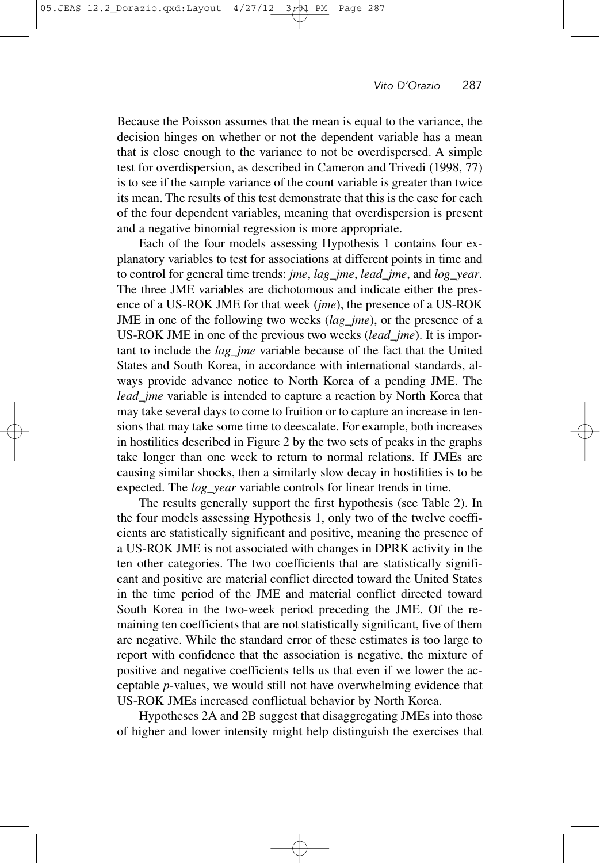Because the Poisson assumes that the mean is equal to the variance, the decision hinges on whether or not the dependent variable has a mean that is close enough to the variance to not be overdispersed. A simple test for overdispersion, as described in Cameron and Trivedi (1998, 77) is to see if the sample variance of the count variable is greater than twice its mean. The results of this test demonstrate that this is the case for each of the four dependent variables, meaning that overdispersion is present and a negative binomial regression is more appropriate.

Each of the four models assessing Hypothesis 1 contains four explanatory variables to test for associations at different points in time and to control for general time trends: *jme*, *lag\_jme*, *lead\_jme*, and *log\_year*. The three JME variables are dichotomous and indicate either the presence of a US-ROK JME for that week (*jme*), the presence of a US-ROK JME in one of the following two weeks (*lag\_jme*), or the presence of a US-ROK JME in one of the previous two weeks (*lead\_jme*). It is important to include the *lag\_jme* variable because of the fact that the United States and South Korea, in accordance with international standards, always provide advance notice to North Korea of a pending JME. The *lead\_jme* variable is intended to capture a reaction by North Korea that may take several days to come to fruition or to capture an increase in tensions that may take some time to deescalate. For example, both increases in hostilities described in Figure 2 by the two sets of peaks in the graphs take longer than one week to return to normal relations. If JMEs are causing similar shocks, then a similarly slow decay in hostilities is to be expected. The *log\_year* variable controls for linear trends in time.

The results generally support the first hypothesis (see Table 2). In the four models assessing Hypothesis 1, only two of the twelve coefficients are statistically significant and positive, meaning the presence of a US-ROK JME is not associated with changes in DPRK activity in the ten other categories. The two coefficients that are statistically significant and positive are material conflict directed toward the United States in the time period of the JME and material conflict directed toward South Korea in the two-week period preceding the JME. Of the remaining ten coefficients that are not statistically significant, five of them are negative. While the standard error of these estimates is too large to report with confidence that the association is negative, the mixture of positive and negative coefficients tells us that even if we lower the acceptable *p*-values, we would still not have overwhelming evidence that US-ROK JMEs increased conflictual behavior by North Korea.

Hypotheses 2A and 2B suggest that disaggregating JMEs into those of higher and lower intensity might help distinguish the exercises that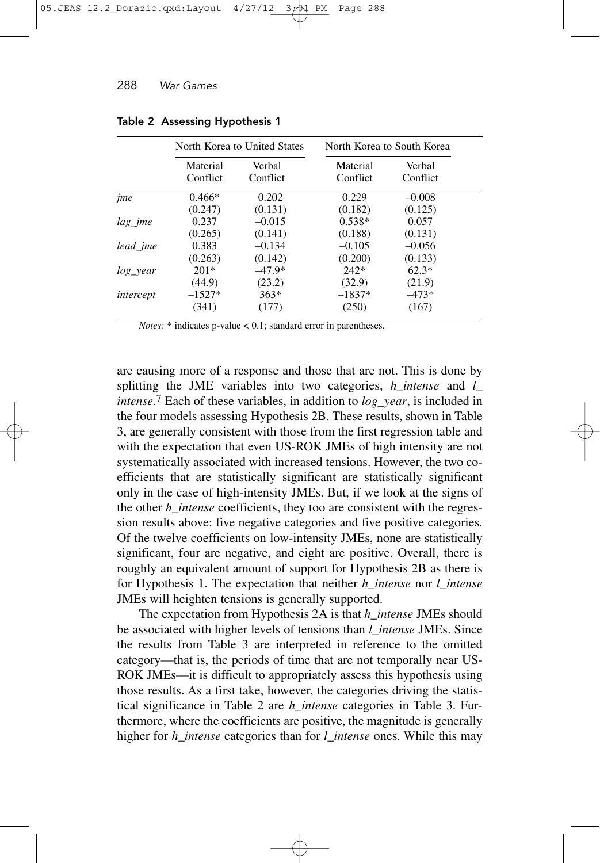|             | North Korea to United States |          | North Korea to South Korea |          |  |
|-------------|------------------------------|----------|----------------------------|----------|--|
|             | Material                     | Verbal   | Material                   | Verbal   |  |
|             | Conflict                     | Conflict | Conflict                   | Conflict |  |
| jme         | $0.466*$                     | 0.202    | 0.229                      | $-0.008$ |  |
|             | (0.247)                      | (0.131)  | (0.182)                    | (0.125)  |  |
| $lag$ ime   | 0.237                        | $-0.015$ | $0.538*$                   | 0.057    |  |
|             | (0.265)                      | (0.141)  | (0.188)                    | (0.131)  |  |
| lead_jme    | 0.383                        | $-0.134$ | $-0.105$                   | $-0.056$ |  |
|             | (0.263)                      | (0.142)  | (0.200)                    | (0.133)  |  |
| $log\_year$ | $201*$                       | $-47.9*$ | $242*$                     | $62.3*$  |  |
|             | (44.9)                       | (23.2)   | (32.9)                     | (21.9)   |  |
| intercept   | $-1527*$                     | $363*$   | $-1837*$                   | $-473*$  |  |
|             | (341)                        | (177)    | (250)                      | (167)    |  |

#### **Table 2 Assessing Hypothesis 1**

*Notes:* \* indicates p-value < 0.1; standard error in parentheses.

are causing more of a response and those that are not. This is done by splitting the JME variables into two categories, *h\_intense* and *l\_ intense*. 7 Each of these variables, in addition to *log\_year*, is included in the four models assessing Hypothesis 2B. These results, shown in Table 3, are generally consistent with those from the first regression table and with the expectation that even US-ROK JMEs of high intensity are not systematically associated with increased tensions. However, the two coefficients that are statistically significant are statistically significant only in the case of high-intensity JMEs. But, if we look at the signs of the other *h\_intense* coefficients, they too are consistent with the regression results above: five negative categories and five positive categories. Of the twelve coefficients on low-intensity JMEs, none are statistically significant, four are negative, and eight are positive. Overall, there is roughly an equivalent amount of support for Hypothesis 2B as there is for Hypothesis 1. The expectation that neither *h\_intense* nor *l\_intense* JMEs will heighten tensions is generally supported.

The expectation from Hypothesis 2A is that *h\_intense* JMEs should be associated with higher levels of tensions than *l\_intense* JMEs. Since the results from Table 3 are interpreted in reference to the omitted category—that is, the periods of time that are not temporally near US-ROK JMEs—it is difficult to appropriately assess this hypothesis using those results. As a first take, however, the categories driving the statistical significance in Table 2 are *h\_intense* categories in Table 3. Furthermore, where the coefficients are positive, the magnitude is generally higher for *h\_intense* categories than for *l\_intense* ones. While this may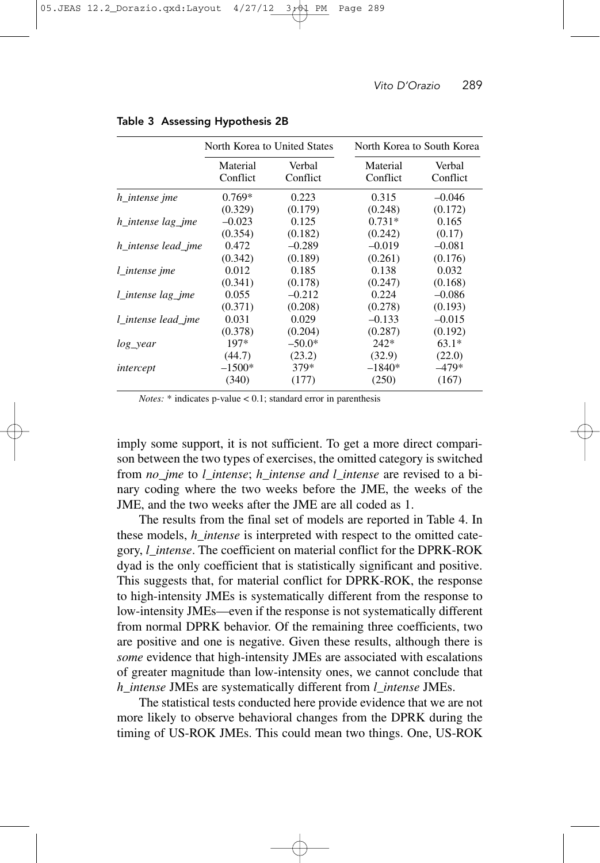|                    | North Korea to United States |          | North Korea to South Korea |          |
|--------------------|------------------------------|----------|----------------------------|----------|
|                    | Material                     | Verbal   | Material                   | Verbal   |
|                    | Conflict                     | Conflict | Conflict                   | Conflict |
| h_intense jme      | $0.769*$                     | 0.223    | 0.315                      | $-0.046$ |
| h_intense_lag_jme  | (0.329)                      | (0.179)  | (0.248)                    | (0.172)  |
|                    | $-0.023$                     | 0.125    | $0.731*$                   | 0.165    |
|                    | (0.354)                      | (0.182)  | (0.242)                    | (0.17)   |
| h_intense_lead_jme | 0.472                        | $-0.289$ | $-0.019$                   | $-0.081$ |
|                    | (0.342)                      | (0.189)  | (0.261)                    | (0.176)  |
| l_intense jme      | 0.012                        | 0.185    | 0.138                      | 0.032    |
|                    | (0.341)                      | (0.178)  | (0.247)                    | (0.168)  |
| l intense lag jme  | 0.055                        | $-0.212$ | 0.224                      | $-0.086$ |
|                    | (0.371)                      | (0.208)  | (0.278)                    | (0.193)  |
| l intense lead jme | 0.031                        | 0.029    | $-0.133$                   | $-0.015$ |
|                    | (0.378)                      | (0.204)  | (0.287)                    | (0.192)  |
| log_year           | $197*$                       | $-50.0*$ | $242*$                     | $63.1*$  |
|                    | (44.7)                       | (23.2)   | (32.9)                     | (22.0)   |
| intercept          | $-1500*$                     | 379*     | $-1840*$                   | $-479*$  |
|                    | (340)                        | (177)    | (250)                      | (167)    |

#### **Table 3 Assessing Hypothesis 2B**

*Notes:* \* indicates p-value < 0.1; standard error in parenthesis

imply some support, it is not sufficient. To get a more direct comparison between the two types of exercises, the omitted category is switched from *no\_jme* to *l\_intense*; *h\_intense and l\_intense* are revised to a binary coding where the two weeks before the JME, the weeks of the JME, and the two weeks after the JME are all coded as 1.

The results from the final set of models are reported in Table 4. In these models, *h\_intense* is interpreted with respect to the omitted category, *l\_intense*. The coefficient on material conflict for the DPRK-ROK dyad is the only coefficient that is statistically significant and positive. This suggests that, for material conflict for DPRK-ROK, the response to high-intensity JMEs is systematically different from the response to low-intensity JMEs—even if the response is not systematically different from normal DPRK behavior. Of the remaining three coefficients, two are positive and one is negative. Given these results, although there is *some* evidence that high-intensity JMEs are associated with escalations of greater magnitude than low-intensity ones, we cannot conclude that *h\_intense* JMEs are systematically different from *l\_intense* JMEs.

The statistical tests conducted here provide evidence that we are not more likely to observe behavioral changes from the DPRK during the timing of US-ROK JMEs. This could mean two things. One, US-ROK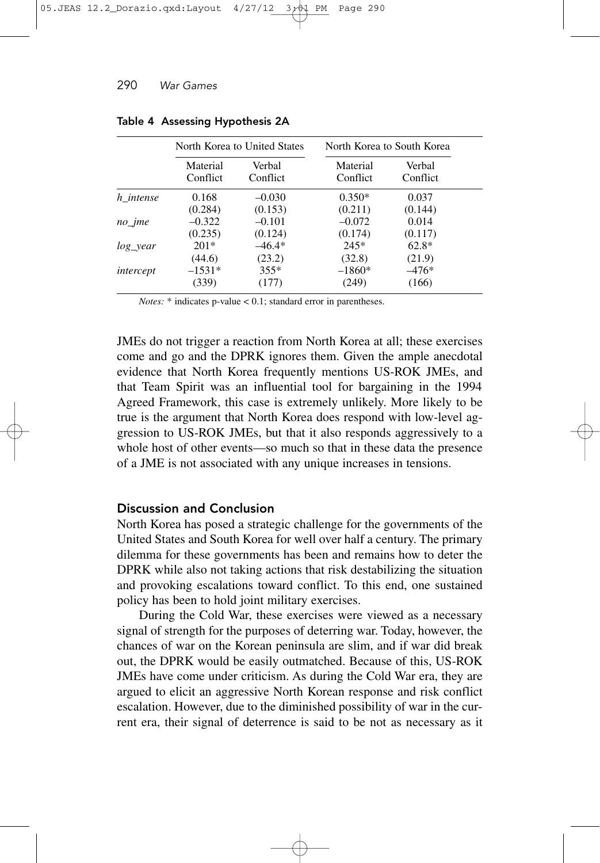|             | North Korea to United States |                    | North Korea to South Korea |                    |
|-------------|------------------------------|--------------------|----------------------------|--------------------|
|             | Material<br>Conflict         | Verbal<br>Conflict | Material<br>Conflict       | Verbal<br>Conflict |
| h intense   | 0.168                        | $-0.030$           | $0.350*$                   | 0.037              |
|             | (0.284)                      | (0.153)            | (0.211)                    | (0.144)            |
| no_jme      | $-0.322$                     | $-0.101$           | $-0.072$                   | 0.014              |
|             | (0.235)                      | (0.124)            | (0.174)                    | (0.117)            |
| $log\_year$ | $201*$                       | $-46.4*$           | $245*$                     | $62.8*$            |
|             | (44.6)                       | (23.2)             | (32.8)                     | (21.9)             |
| intercept   | $-1531*$                     | $355*$             | $-1860*$                   | $-476*$            |
|             | (339)                        | (177)              | (249)                      | (166)              |

#### **Table 4 Assessing Hypothesis 2A**

*Notes:* \* indicates p-value < 0.1; standard error in parentheses.

JMEs do not trigger a reaction from North Korea at all; these exercises come and go and the DPRK ignores them. Given the ample anecdotal evidence that North Korea frequently mentions US-ROK JMEs, and that Team Spirit was an influential tool for bargaining in the 1994 Agreed Framework, this case is extremely unlikely. More likely to be true is the argument that North Korea does respond with low-level aggression to US-ROK JMEs, but that it also responds aggressively to a whole host of other events—so much so that in these data the presence of a JME is not associated with any unique increases in tensions.

# **Discussion and Conclusion**

North Korea has posed a strategic challenge for the governments of the United States and South Korea for well over half a century. The primary dilemma for these governments has been and remains how to deter the DPRK while also not taking actions that risk destabilizing the situation and provoking escalations toward conflict. To this end, one sustained policy has been to hold joint military exercises.

During the Cold War, these exercises were viewed as a necessary signal of strength for the purposes of deterring war. Today, however, the chances of war on the Korean peninsula are slim, and if war did break out, the DPRK would be easily outmatched. Because of this, US-ROK JMEs have come under criticism. As during the Cold War era, they are argued to elicit an aggressive North Korean response and risk conflict escalation. However, due to the diminished possibility of war in the current era, their signal of deterrence is said to be not as necessary as it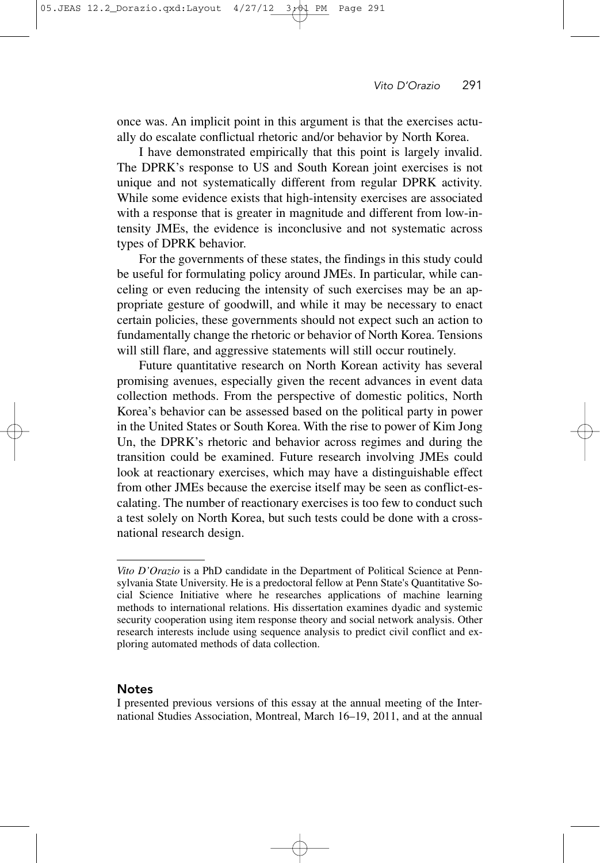#### *Vito D'Orazio* 291

once was. An implicit point in this argument is that the exercises actually do escalate conflictual rhetoric and/or behavior by North Korea.

I have demonstrated empirically that this point is largely invalid. The DPRK's response to US and South Korean joint exercises is not unique and not systematically different from regular DPRK activity. While some evidence exists that high-intensity exercises are associated with a response that is greater in magnitude and different from low-intensity JMEs, the evidence is inconclusive and not systematic across types of DPRK behavior.

For the governments of these states, the findings in this study could be useful for formulating policy around JMEs. In particular, while canceling or even reducing the intensity of such exercises may be an appropriate gesture of goodwill, and while it may be necessary to enact certain policies, these governments should not expect such an action to fundamentally change the rhetoric or behavior of North Korea. Tensions will still flare, and aggressive statements will still occur routinely.

Future quantitative research on North Korean activity has several promising avenues, especially given the recent advances in event data collection methods. From the perspective of domestic politics, North Korea's behavior can be assessed based on the political party in power in the United States or South Korea. With the rise to power of Kim Jong Un, the DPRK's rhetoric and behavior across regimes and during the transition could be examined. Future research involving JMEs could look at reactionary exercises, which may have a distinguishable effect from other JMEs because the exercise itself may be seen as conflict-escalating. The number of reactionary exercises is too few to conduct such a test solely on North Korea, but such tests could be done with a crossnational research design.

#### **Notes**

I presented previous versions of this essay at the annual meeting of the International Studies Association, Montreal, March 16–19, 2011, and at the annual

*Vito D'Orazio* is a PhD candidate in the Department of Political Science at Pennsylvania State University. He is a predoctoral fellow at Penn State's Quantitative Social Science Initiative where he researches applications of machine learning methods to international relations. His dissertation examines dyadic and systemic security cooperation using item response theory and social network analysis. Other research interests include using sequence analysis to predict civil conflict and exploring automated methods of data collection.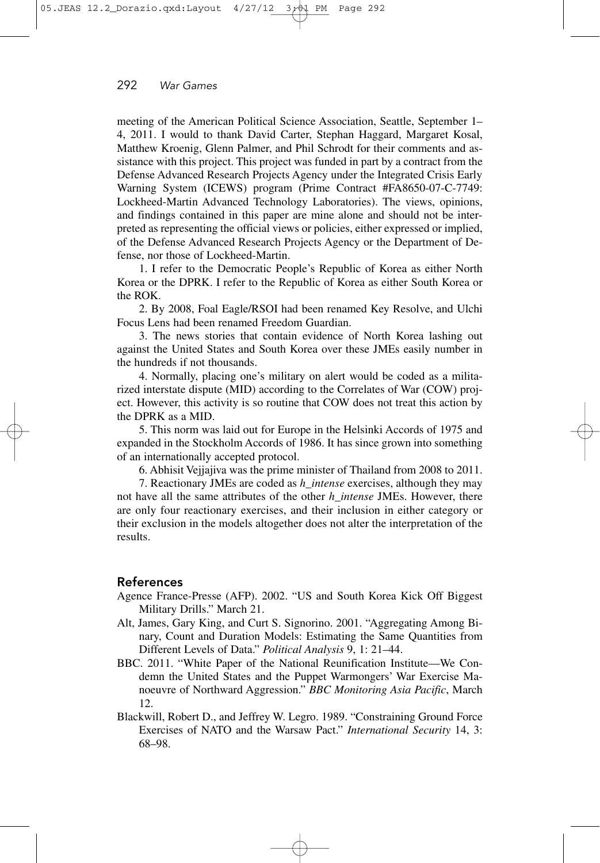meeting of the American Political Science Association, Seattle, September 1– 4, 2011. I would to thank David Carter, Stephan Haggard, Margaret Kosal, Matthew Kroenig, Glenn Palmer, and Phil Schrodt for their comments and assistance with this project. This project was funded in part by a contract from the Defense Advanced Research Projects Agency under the Integrated Crisis Early Warning System (ICEWS) program (Prime Contract #FA8650-07-C-7749: Lockheed-Martin Advanced Technology Laboratories). The views, opinions, and findings contained in this paper are mine alone and should not be interpreted as representing the official views or policies, either expressed or implied, of the Defense Advanced Research Projects Agency or the Department of Defense, nor those of Lockheed-Martin.

1. I refer to the Democratic People's Republic of Korea as either North Korea or the DPRK. I refer to the Republic of Korea as either South Korea or the ROK.

2. By 2008, Foal Eagle/RSOI had been renamed Key Resolve, and Ulchi Focus Lens had been renamed Freedom Guardian.

3. The news stories that contain evidence of North Korea lashing out against the United States and South Korea over these JMEs easily number in the hundreds if not thousands.

4. Normally, placing one's military on alert would be coded as a militarized interstate dispute (MID) according to the Correlates of War (COW) project. However, this activity is so routine that COW does not treat this action by the DPRK as a MID.

5. This norm was laid out for Europe in the Helsinki Accords of 1975 and expanded in the Stockholm Accords of 1986. It has since grown into something of an internationally accepted protocol.

6. Abhisit Vejjajiva was the prime minister of Thailand from 2008 to 2011.

7. Reactionary JMEs are coded as *h\_intense* exercises, although they may not have all the same attributes of the other *h\_intense* JMEs. However, there are only four reactionary exercises, and their inclusion in either category or their exclusion in the models altogether does not alter the interpretation of the results.

#### **References**

Agence France-Presse (AFP). 2002. "US and South Korea Kick Off Biggest Military Drills." March 21.

- Alt, James, Gary King, and Curt S. Signorino. 2001. "Aggregating Among Binary, Count and Duration Models: Estimating the Same Quantities from Different Levels of Data." *Political Analysis* 9, 1: 21–44.
- BBC. 2011. "White Paper of the National Reunification Institute—We Condemn the United States and the Puppet Warmongers' War Exercise Manoeuvre of Northward Aggression." *BBC Monitoring Asia Pacific*, March 12.
- Blackwill, Robert D., and Jeffrey W. Legro. 1989. "Constraining Ground Force Exercises of NATO and the Warsaw Pact." *International Security* 14, 3: 68–98.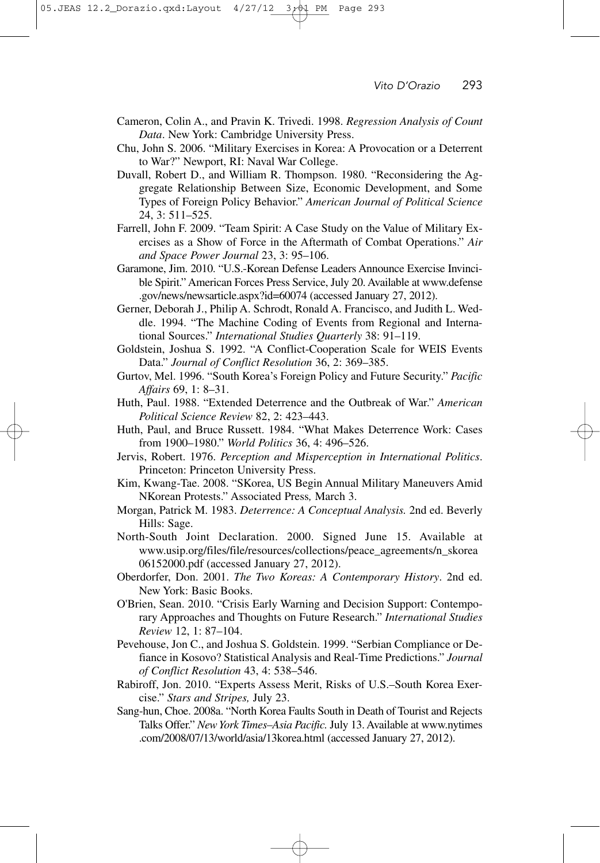- Cameron, Colin A., and Pravin K. Trivedi. 1998. *Regression Analysis of Count Data*. New York: Cambridge University Press.
- Chu, John S. 2006. "Military Exercises in Korea: A Provocation or a Deterrent to War?" Newport, RI: Naval War College.
- Duvall, Robert D., and William R. Thompson. 1980. "Reconsidering the Aggregate Relationship Between Size, Economic Development, and Some Types of Foreign Policy Behavior." *American Journal of Political Science* 24, 3: 511–525.
- Farrell, John F. 2009. "Team Spirit: A Case Study on the Value of Military Exercises as a Show of Force in the Aftermath of Combat Operations." *Air and Space Power Journal* 23, 3: 95–106.
- Garamone, Jim. 2010. "U.S.-Korean Defense Leaders Announce Exercise Invincible Spirit." American Forces Press Service, July 20. Available at www.defense .gov/news/newsarticle.aspx?id=60074 (accessed January 27, 2012).
- Gerner, Deborah J., Philip A. Schrodt, Ronald A. Francisco, and Judith L. Weddle. 1994. "The Machine Coding of Events from Regional and International Sources." *International Studies Quarterly* 38: 91–119.
- Goldstein, Joshua S. 1992. "A Conflict-Cooperation Scale for WEIS Events Data." *Journal of Conflict Resolution* 36, 2: 369–385.
- Gurtov, Mel. 1996. "South Korea's Foreign Policy and Future Security." *Pacific Affairs* 69, 1: 8–31.
- Huth, Paul. 1988. "Extended Deterrence and the Outbreak of War." *American Political Science Review* 82, 2: 423–443.
- Huth, Paul, and Bruce Russett. 1984. "What Makes Deterrence Work: Cases from 1900–1980." *World Politics* 36, 4: 496–526.
- Jervis, Robert. 1976. *Perception and Misperception in International Politics*. Princeton: Princeton University Press.
- Kim, Kwang-Tae. 2008. "SKorea, US Begin Annual Military Maneuvers Amid NKorean Protests." Associated Press*,* March 3.
- Morgan, Patrick M. 1983. *Deterrence: A Conceptual Analysis.* 2nd ed. Beverly Hills: Sage.
- North-South Joint Declaration. 2000. Signed June 15. Available at www.usip.org/files/file/resources/collections/peace\_agreements/n\_skorea 06152000.pdf (accessed January 27, 2012).
- Oberdorfer, Don. 2001. *The Two Koreas: A Contemporary History*. 2nd ed. New York: Basic Books.
- O'Brien, Sean. 2010. "Crisis Early Warning and Decision Support: Contemporary Approaches and Thoughts on Future Research." *International Studies Review* 12, 1: 87–104.
- Pevehouse, Jon C., and Joshua S. Goldstein. 1999. "Serbian Compliance or Defiance in Kosovo? Statistical Analysis and Real-Time Predictions." *Journal of Conflict Resolution* 43, 4: 538–546.
- Rabiroff, Jon. 2010. "Experts Assess Merit, Risks of U.S.–South Korea Exercise." *Stars and Stripes,* July 23.
- Sang-hun, Choe. 2008a. "North Korea Faults South in Death of Tourist and Rejects Talks Offer." *NewYork Times–Asia Pacific.* July 13. Available at www.nytimes .com/2008/07/13/world/asia/13korea.html (accessed January 27, 2012).